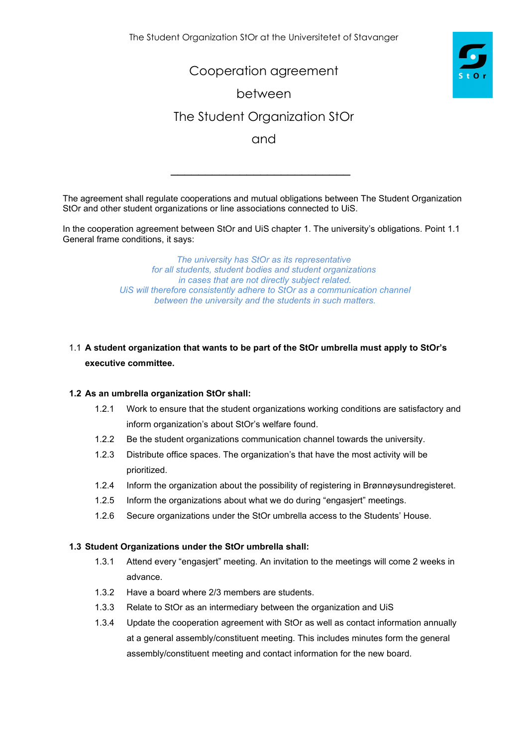Cooperation agreement

between

# The Student Organization StOr

and

The agreement shall regulate cooperations and mutual obligations between The Student Organization StOr and other student organizations or line associations connected to UiS.

 $\overline{\phantom{a}}$  , which is a set of the set of the set of the set of the set of the set of the set of the set of the set of the set of the set of the set of the set of the set of the set of the set of the set of the set of th

In the cooperation agreement between StOr and UiS chapter 1. The university's obligations. Point 1.1 General frame conditions, it says:

> *The university has StOr as its representative for all students, student bodies and student organizations in cases that are not directly subject related. UiS will therefore consistently adhere to StOr as a communication channel between the university and the students in such matters.*

# 1.1 **A student organization that wants to be part of the StOr umbrella must apply to StOr's executive committee.**

#### **1.2 As an umbrella organization StOr shall:**

- 1.2.1 Work to ensure that the student organizations working conditions are satisfactory and inform organization's about StOr's welfare found.
- 1.2.2 Be the student organizations communication channel towards the university.
- 1.2.3 Distribute office spaces. The organization's that have the most activity will be prioritized.
- 1.2.4 Inform the organization about the possibility of registering in Brønnøysundregisteret.
- 1.2.5 Inform the organizations about what we do during "engasjert" meetings.
- 1.2.6 Secure organizations under the StOr umbrella access to the Students' House.

#### **1.3 Student Organizations under the StOr umbrella shall:**

- 1.3.1 Attend every "engasjert" meeting. An invitation to the meetings will come 2 weeks in advance.
- 1.3.2 Have a board where 2/3 members are students.
- 1.3.3 Relate to StOr as an intermediary between the organization and UiS
- 1.3.4 Update the cooperation agreement with StOr as well as contact information annually at a general assembly/constituent meeting. This includes minutes form the general assembly/constituent meeting and contact information for the new board.